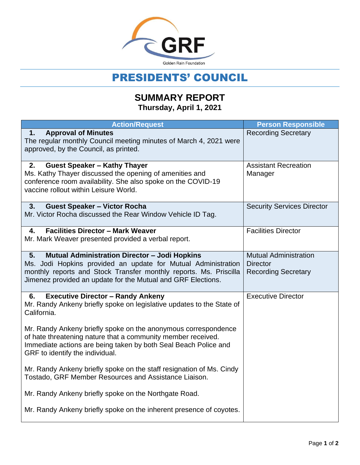

## PRESIDENTS' COUNCIL

## **SUMMARY REPORT Thursday, April 1, 2021**

| <b>Action/Request</b>                                                                                                                                                                                                                                            | <b>Person Responsible</b>                                                     |
|------------------------------------------------------------------------------------------------------------------------------------------------------------------------------------------------------------------------------------------------------------------|-------------------------------------------------------------------------------|
| <b>Approval of Minutes</b><br>1.<br>The regular monthly Council meeting minutes of March 4, 2021 were<br>approved, by the Council, as printed.                                                                                                                   | <b>Recording Secretary</b>                                                    |
| <b>Guest Speaker - Kathy Thayer</b><br>2.<br>Ms. Kathy Thayer discussed the opening of amenities and<br>conference room availability. She also spoke on the COVID-19<br>vaccine rollout within Leisure World.                                                    | <b>Assistant Recreation</b><br>Manager                                        |
| <b>Guest Speaker - Victor Rocha</b><br>3.<br>Mr. Victor Rocha discussed the Rear Window Vehicle ID Tag.                                                                                                                                                          | <b>Security Services Director</b>                                             |
| <b>Facilities Director - Mark Weaver</b><br>4.<br>Mr. Mark Weaver presented provided a verbal report.                                                                                                                                                            | <b>Facilities Director</b>                                                    |
| <b>Mutual Administration Director - Jodi Hopkins</b><br>5.<br>Ms. Jodi Hopkins provided an update for Mutual Administration<br>monthly reports and Stock Transfer monthly reports. Ms. Priscilla<br>Jimenez provided an update for the Mutual and GRF Elections. | <b>Mutual Administration</b><br><b>Director</b><br><b>Recording Secretary</b> |
| <b>Executive Director - Randy Ankeny</b><br>6.<br>Mr. Randy Ankeny briefly spoke on legislative updates to the State of<br>California.                                                                                                                           | <b>Executive Director</b>                                                     |
| Mr. Randy Ankeny briefly spoke on the anonymous correspondence<br>of hate threatening nature that a community member received.<br>Immediate actions are being taken by both Seal Beach Police and<br>GRF to identify the individual.                             |                                                                               |
| Mr. Randy Ankeny briefly spoke on the staff resignation of Ms. Cindy<br>Tostado, GRF Member Resources and Assistance Liaison.                                                                                                                                    |                                                                               |
| Mr. Randy Ankeny briefly spoke on the Northgate Road.                                                                                                                                                                                                            |                                                                               |
| Mr. Randy Ankeny briefly spoke on the inherent presence of coyotes.                                                                                                                                                                                              |                                                                               |